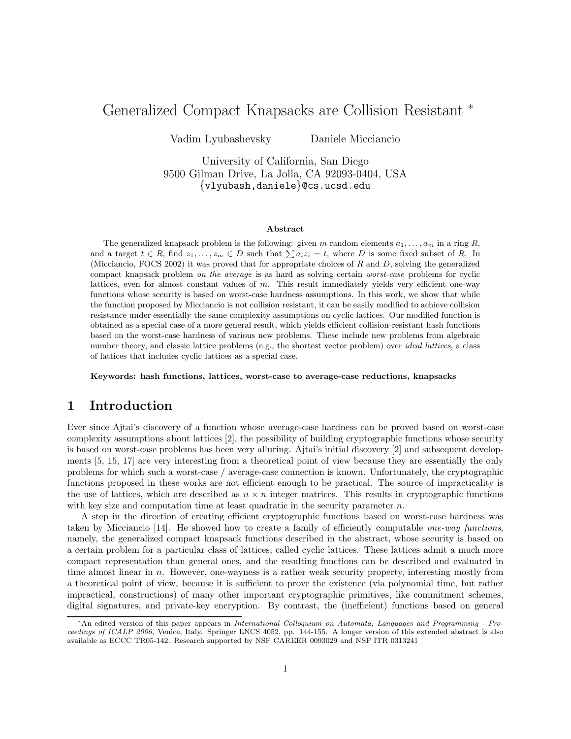# Generalized Compact Knapsacks are Collision Resistant <sup>∗</sup>

Vadim Lyubashevsky Daniele Micciancio

University of California, San Diego 9500 Gilman Drive, La Jolla, CA 92093-0404, USA {vlyubash,daniele}@cs.ucsd.edu

#### Abstract

The generalized knapsack problem is the following: given m random elements  $a_1, \ldots, a_m$  in a ring R, and a target  $t \in R$ , find  $z_1, \ldots, z_m \in D$  such that  $\sum a_i z_i = t$ , where D is some fixed subset of R. In (Micciancio, FOCS 2002) it was proved that for appropriate choices of R and D, solving the generalized compact knapsack problem on the average is as hard as solving certain worst-case problems for cyclic lattices, even for almost constant values of  $m$ . This result immediately yields very efficient one-way functions whose security is based on worst-case hardness assumptions. In this work, we show that while the function proposed by Micciancio is not collision resistant, it can be easily modified to achieve collision resistance under essentially the same complexity assumptions on cyclic lattices. Our modified function is obtained as a special case of a more general result, which yields efficient collision-resistant hash functions based on the worst-case hardness of various new problems. These include new problems from algebraic number theory, and classic lattice problems (e.g., the shortest vector problem) over *ideal lattices*, a class of lattices that includes cyclic lattices as a special case.

Keywords: hash functions, lattices, worst-case to average-case reductions, knapsacks

# 1 Introduction

Ever since Ajtai's discovery of a function whose average-case hardness can be proved based on worst-case complexity assumptions about lattices [2], the possibility of building cryptographic functions whose security is based on worst-case problems has been very alluring. Ajtai's initial discovery [2] and subsequent developments [5, 15, 17] are very interesting from a theoretical point of view because they are essentially the only problems for which such a worst-case / average-case connection is known. Unfortunately, the cryptographic functions proposed in these works are not efficient enough to be practical. The source of impracticality is the use of lattices, which are described as  $n \times n$  integer matrices. This results in cryptographic functions with key size and computation time at least quadratic in the security parameter  $n$ .

A step in the direction of creating efficient cryptographic functions based on worst-case hardness was taken by Micciancio [14]. He showed how to create a family of efficiently computable one-way functions, namely, the generalized compact knapsack functions described in the abstract, whose security is based on a certain problem for a particular class of lattices, called cyclic lattices. These lattices admit a much more compact representation than general ones, and the resulting functions can be described and evaluated in time almost linear in  $n$ . However, one-wayness is a rather weak security property, interesting mostly from a theoretical point of view, because it is sufficient to prove the existence (via polynomial time, but rather impractical, constructions) of many other important cryptographic primitives, like commitment schemes, digital signatures, and private-key encryption. By contrast, the (inefficient) functions based on general

<sup>∗</sup>An edited version of this paper appears in International Colloquium on Automata, Languages and Programming - Proceedings of ICALP 2006, Venice, Italy. Springer LNCS 4052, pp. 144-155. A longer version of this extended abstract is also available as ECCC TR05-142. Research supported by NSF CAREER 0093029 and NSF ITR 0313241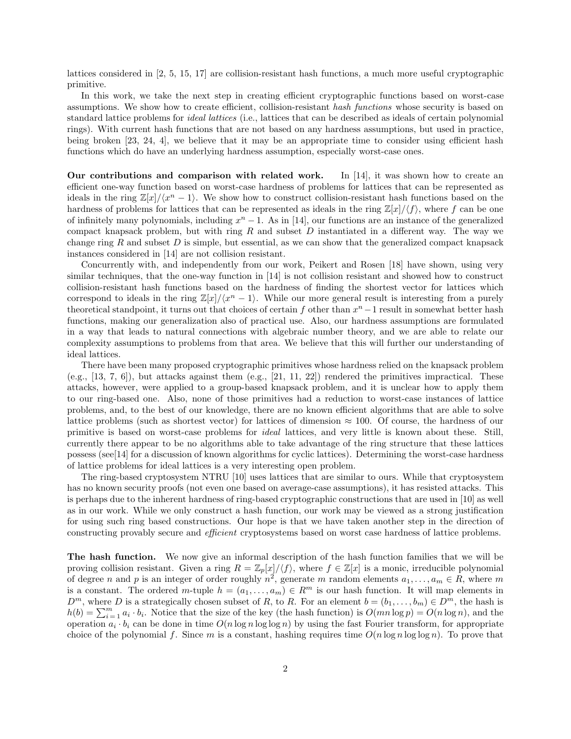lattices considered in [2, 5, 15, 17] are collision-resistant hash functions, a much more useful cryptographic primitive.

In this work, we take the next step in creating efficient cryptographic functions based on worst-case assumptions. We show how to create efficient, collision-resistant hash functions whose security is based on standard lattice problems for ideal lattices (i.e., lattices that can be described as ideals of certain polynomial rings). With current hash functions that are not based on any hardness assumptions, but used in practice, being broken [23, 24, 4], we believe that it may be an appropriate time to consider using efficient hash functions which do have an underlying hardness assumption, especially worst-case ones.

Our contributions and comparison with related work. In [14], it was shown how to create an efficient one-way function based on worst-case hardness of problems for lattices that can be represented as ideals in the ring  $\mathbb{Z}[x]/\langle x^n-1\rangle$ . We show how to construct collision-resistant hash functions based on the hardness of problems for lattices that can be represented as ideals in the ring  $\mathbb{Z}[x]/\langle f \rangle$ , where f can be one of infinitely many polynomials, including  $x^n - 1$ . As in [14], our functions are an instance of the generalized compact knapsack problem, but with ring  $R$  and subset  $D$  instantiated in a different way. The way we change ring R and subset  $D$  is simple, but essential, as we can show that the generalized compact knapsack instances considered in [14] are not collision resistant.

Concurrently with, and independently from our work, Peikert and Rosen [18] have shown, using very similar techniques, that the one-way function in [14] is not collision resistant and showed how to construct collision-resistant hash functions based on the hardness of finding the shortest vector for lattices which correspond to ideals in the ring  $\mathbb{Z}[x]/\langle x^n-1\rangle$ . While our more general result is interesting from a purely theoretical standpoint, it turns out that choices of certain f other than  $x<sup>n</sup> - 1$  result in somewhat better hash functions, making our generalization also of practical use. Also, our hardness assumptions are formulated in a way that leads to natural connections with algebraic number theory, and we are able to relate our complexity assumptions to problems from that area. We believe that this will further our understanding of ideal lattices.

There have been many proposed cryptographic primitives whose hardness relied on the knapsack problem (e.g., [13, 7, 6]), but attacks against them (e.g., [21, 11, 22]) rendered the primitives impractical. These attacks, however, were applied to a group-based knapsack problem, and it is unclear how to apply them to our ring-based one. Also, none of those primitives had a reduction to worst-case instances of lattice problems, and, to the best of our knowledge, there are no known efficient algorithms that are able to solve lattice problems (such as shortest vector) for lattices of dimension  $\approx 100$ . Of course, the hardness of our primitive is based on worst-case problems for ideal lattices, and very little is known about these. Still, currently there appear to be no algorithms able to take advantage of the ring structure that these lattices possess (see[14] for a discussion of known algorithms for cyclic lattices). Determining the worst-case hardness of lattice problems for ideal lattices is a very interesting open problem.

The ring-based cryptosystem NTRU [10] uses lattices that are similar to ours. While that cryptosystem has no known security proofs (not even one based on average-case assumptions), it has resisted attacks. This is perhaps due to the inherent hardness of ring-based cryptographic constructions that are used in [10] as well as in our work. While we only construct a hash function, our work may be viewed as a strong justification for using such ring based constructions. Our hope is that we have taken another step in the direction of constructing provably secure and efficient cryptosystems based on worst case hardness of lattice problems.

The hash function. We now give an informal description of the hash function families that we will be proving collision resistant. Given a ring  $R = \mathbb{Z}_p[x]/\langle f \rangle$ , where  $f \in \mathbb{Z}[x]$  is a monic, irreducible polynomial of degree n and p is an integer of order roughly  $n^2$ , generate m random elements  $a_1, \ldots, a_m \in R$ , where m is a constant. The ordered m-tuple  $h = (a_1, \ldots, a_m) \in R^m$  is our hash function. It will map elements in  $D^m$ , where D is a strategically chosen subset of R, to R. For an element  $b = (b_1, \ldots, b_m) \in D^m$ , the hash is  $h(b) = \sum_{i=1}^{m} a_i \cdot b_i$ . Notice that the size of the key (the hash function) is  $O(mn \log p) = O(n \log n)$ , and the operation  $a_i \cdot b_i$  can be done in time  $O(n \log n \log \log n)$  by using the fast Fourier transform, for appropriate choice of the polynomial f. Since m is a constant, hashing requires time  $O(n \log n \log \log n)$ . To prove that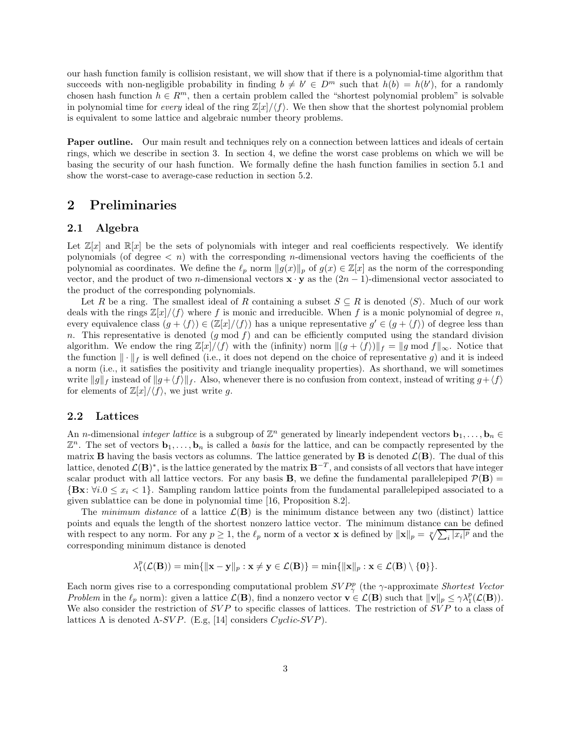our hash function family is collision resistant, we will show that if there is a polynomial-time algorithm that succeeds with non-negligible probability in finding  $b \neq b' \in D^m$  such that  $h(b) = h(b')$ , for a randomly chosen hash function  $h \in \mathbb{R}^m$ , then a certain problem called the "shortest polynomial problem" is solvable in polynomial time for every ideal of the ring  $\mathbb{Z}[x]/\langle f \rangle$ . We then show that the shortest polynomial problem is equivalent to some lattice and algebraic number theory problems.

Paper outline. Our main result and techniques rely on a connection between lattices and ideals of certain rings, which we describe in section 3. In section 4, we define the worst case problems on which we will be basing the security of our hash function. We formally define the hash function families in section 5.1 and show the worst-case to average-case reduction in section 5.2.

# 2 Preliminaries

### 2.1 Algebra

Let  $\mathbb{Z}[x]$  and  $\mathbb{R}[x]$  be the sets of polynomials with integer and real coefficients respectively. We identify polynomials (of degree  $\langle n \rangle$ ) with the corresponding *n*-dimensional vectors having the coefficients of the polynomial as coordinates. We define the  $\ell_p$  norm  $||g(x)||_p$  of  $g(x) \in \mathbb{Z}[x]$  as the norm of the corresponding vector, and the product of two n-dimensional vectors  $\mathbf{x} \cdot \mathbf{y}$  as the  $(2n - 1)$ -dimensional vector associated to the product of the corresponding polynomials.

Let R be a ring. The smallest ideal of R containing a subset  $S \subseteq R$  is denoted  $\langle S \rangle$ . Much of our work deals with the rings  $\mathbb{Z}[x]/\langle f \rangle$  where f is monic and irreducible. When f is a monic polynomial of degree n, every equivalence class  $(g + \langle f \rangle) \in (\mathbb{Z}[x]/\langle f \rangle)$  has a unique representative  $g' \in (g + \langle f \rangle)$  of degree less than n. This representative is denoted  $(g \mod f)$  and can be efficiently computed using the standard division algorithm. We endow the ring  $\mathbb{Z}[x]/\langle f \rangle$  with the (infinity) norm  $\|(g + \langle f \rangle)\|_f = \|g \text{ mod } f\|_{\infty}$ . Notice that the function  $\|\cdot\|_f$  is well defined (i.e., it does not depend on the choice of representative g) and it is indeed a norm (i.e., it satisfies the positivity and triangle inequality properties). As shorthand, we will sometimes write  $\|g\|_f$  instead of  $\|g+\langle f\rangle\|_f$ . Also, whenever there is no confusion from context, instead of writing  $g+\langle f\rangle$ for elements of  $\mathbb{Z}[x]/\langle f \rangle$ , we just write g.

#### 2.2 Lattices

An *n*-dimensional *integer lattice* is a subgroup of  $\mathbb{Z}^n$  generated by linearly independent vectors  $\mathbf{b}_1, \ldots, \mathbf{b}_n \in$  $\mathbb{Z}^n$ . The set of vectors  $\mathbf{b}_1, \ldots, \mathbf{b}_n$  is called a *basis* for the lattice, and can be compactly represented by the matrix **B** having the basis vectors as columns. The lattice generated by **B** is denoted  $\mathcal{L}(\mathbf{B})$ . The dual of this lattice, denoted  $\mathcal{L}(\mathbf{B})^*$ , is the lattice generated by the matrix  $\mathbf{B}^{-T}$ , and consists of all vectors that have integer scalar product with all lattice vectors. For any basis **B**, we define the fundamental parallelepiped  $\mathcal{P}(\mathbf{B}) =$  $\{Bx: \forall i.0 \leq x_i < 1\}$ . Sampling random lattice points from the fundamental parallelepiped associated to a given sublattice can be done in polynomial time [16, Proposition 8.2].

The minimum distance of a lattice  $\mathcal{L}(\mathbf{B})$  is the minimum distance between any two (distinct) lattice points and equals the length of the shortest nonzero lattice vector. The minimum distance can be defined with respect to any norm. For any  $p \ge 1$ , the  $\ell_p$  norm of a vector **x** is defined by  $\|\mathbf{x}\|_p = \sqrt[p]{\sum_i |x_i|^p}$  and the corresponding minimum distance is denoted

$$
\lambda_1^p(\mathcal{L}(\mathbf{B})) = \min\{\|\mathbf{x} - \mathbf{y}\|_p : \mathbf{x} \neq \mathbf{y} \in \mathcal{L}(\mathbf{B})\} = \min\{\|\mathbf{x}\|_p : \mathbf{x} \in \mathcal{L}(\mathbf{B}) \setminus \{\mathbf{0}\}\}.
$$

Each norm gives rise to a corresponding computational problem  $SVP^p_\gamma$  (the  $\gamma$ -approximate *Shortest Vector* Problem in the  $\ell_p$  norm): given a lattice  $\mathcal{L}(\mathbf{B})$ , find a nonzero vector  $\mathbf{v} \in \mathcal{L}(\mathbf{B})$  such that  $\|\mathbf{v}\|_p \leq \gamma \lambda_1^p(\mathcal{L}(\mathbf{B}))$ . We also consider the restriction of  $SVP$  to specific classes of lattices. The restriction of  $SVP$  to a class of lattices  $\Lambda$  is denoted  $\Lambda$ -SVP. (E.g, [14] considers  $Cyclic$ -SVP).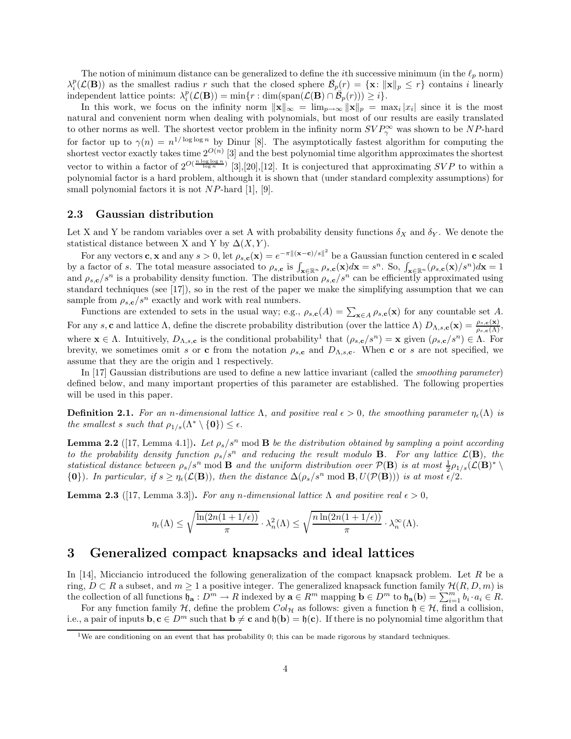The notion of minimum distance can be generalized to define the *i*th successive minimum (in the  $\ell_p$  norm)  $\lambda_i^p(\mathcal{L}(\mathbf{B}))$  as the smallest radius r such that the closed sphere  $\bar{\mathcal{B}}_p(r) = {\mathbf{x} : ||\mathbf{x}||_p \leq r}$  contains i linearly independent lattice points:  $\lambda_i^p(\mathcal{L}(\mathbf{B})) = \min\{r : \dim(\text{span}(\mathcal{L}(\mathbf{B}) \cap \mathcal{B}_p(r))) \geq i\}.$ 

In this work, we focus on the infinity norm  $\|\mathbf{x}\|_{\infty} = \lim_{p \to \infty} \|\mathbf{x}\|_{p} = \max_{i} |x_{i}|$  since it is the most natural and convenient norm when dealing with polynomials, but most of our results are easily translated to other norms as well. The shortest vector problem in the infinity norm  $SVP^{\infty}_{\gamma}$  was shown to be NP-hard for factor up to  $\gamma(n) = n^{1/\log \log n}$  by Dinur [8]. The asymptotically fastest algorithm for computing the shortest vector exactly takes time  $2^{O(n)}$  [3] and the best polynomial time algorithm approximates the shortest vector to within a factor of  $2^{O(\frac{n \log \log n}{\log n})}$  [3],[20],[12]. It is conjectured that approximating SVP to within a polynomial factor is a hard problem, although it is shown that (under standard complexity assumptions) for small polynomial factors it is not  $NP$ -hard [1], [9].

#### 2.3 Gaussian distribution

Let X and Y be random variables over a set A with probability density functions  $\delta_X$  and  $\delta_Y$ . We denote the statistical distance between X and Y by  $\Delta(X, Y)$ .

For any vectors **c**, **x** and any  $s > 0$ , let  $\rho_{s,c}(\mathbf{x}) = e^{-\pi ||(\mathbf{x}-\mathbf{c})/s||^2}$  be a Gaussian function centered in **c** scaled by a factor of s. The total measure associated to  $\rho_{s,c}$  is  $\int_{\mathbf{x}\in\mathbb{R}^n} \rho_{s,c}(\mathbf{x})d\mathbf{x} = s^n$ . So,  $\int_{\mathbf{x}\in\mathbb{R}^n} (\rho_{s,c}(\mathbf{x})/s^n)d\mathbf{x} = 1$ and  $\rho_{s,c}/s^n$  is a probability density function. The distribution  $\rho_{s,c}/s^n$  can be efficiently approximated using standard techniques (see [17]), so in the rest of the paper we make the simplifying assumption that we can sample from  $\rho_{s,c}/s^n$  exactly and work with real numbers.

Functions are extended to sets in the usual way; e.g.,  $\rho_{s,c}(A) = \sum_{\mathbf{x} \in A} \rho_{s,c}(\mathbf{x})$  for any countable set A. For any s, c and lattice  $\Lambda$ , define the discrete probability distribution (over the lattice  $\Lambda$ )  $D_{\Lambda,s,\mathbf{c}}(\mathbf{x}) = \frac{\rho_{s,\mathbf{c}}(\mathbf{x})}{\rho_{s,\mathbf{c}}(\Lambda)}$ , where  $\mathbf{x} \in \Lambda$ . Intuitively,  $D_{\Lambda,s,c}$  is the conditional probability<sup>1</sup> that  $(\rho_{s,c}/s^n) = \mathbf{x}$  given  $(\rho_{s,c}/s^n) \in \Lambda$ . For brevity, we sometimes omit s or c from the notation  $\rho_{s,c}$  and  $D_{\Lambda,s,c}$ . When c or s are not specified, we assume that they are the origin and 1 respectively.

In [17] Gaussian distributions are used to define a new lattice invariant (called the smoothing parameter) defined below, and many important properties of this parameter are established. The following properties will be used in this paper.

**Definition 2.1.** For an n-dimensional lattice  $\Lambda$ , and positive real  $\epsilon > 0$ , the smoothing parameter  $\eta_{\epsilon}(\Lambda)$  is the smallest s such that  $\rho_{1/s}(\Lambda^* \setminus \{0\}) \leq \epsilon$ .

**Lemma 2.2** ([17, Lemma 4.1]). Let  $\rho_s/s^n$  mod **B** be the distribution obtained by sampling a point according to the probability density function  $\rho_s/s^n$  and reducing the result modulo **B**. For any lattice  $\mathcal{L}(\mathbf{B})$ , the statistical distance between  $\rho_s/s^n \mod B$  and the uniform distribution over  $\mathcal{P}(B)$  is at most  $\frac{1}{2}\rho_{1/s}(\mathcal{L}(B)^*)$  ${\bf \{0\}}$ ). In particular, if  $s \geq \eta_{\epsilon}(\mathcal{L}(\mathbf{B}))$ , then the distance  $\Delta(\rho_s/s^n \text{ mod } \mathbf{B}, U(\mathcal{P}(\mathbf{B})))$  is at most  $\epsilon/2$ .

**Lemma 2.3** ([17, Lemma 3.3]). For any n-dimensional lattice  $\Lambda$  and positive real  $\epsilon > 0$ ,

$$
\eta_{\epsilon}(\Lambda) \leq \sqrt{\frac{\ln(2n(1+1/\epsilon))}{\pi}} \cdot \lambda_n^2(\Lambda) \leq \sqrt{\frac{n\ln(2n(1+1/\epsilon))}{\pi}} \cdot \lambda_n^{\infty}(\Lambda).
$$

# 3 Generalized compact knapsacks and ideal lattices

In [14], Micciancio introduced the following generalization of the compact knapsack problem. Let R be a ring,  $D \subset R$  a subset, and  $m \ge 1$  a positive integer. The generalized knapsack function family  $\mathcal{H}(R, D, m)$  is the collection of all functions  $\mathfrak{h}_a: D^m \to R$  indexed by  $\mathbf{a} \in R^m$  mapping  $\mathbf{b} \in D^m$  to  $\mathfrak{h}_\mathbf{a}(\mathbf{b}) = \sum_{i=1}^m b_i \cdot a_i \in R$ .

For any function family H, define the problem  $Col_{\mathcal{H}}$  as follows: given a function  $\mathfrak{h} \in \mathcal{H}$ , find a collision, i.e., a pair of inputs  $\mathbf{b}, \mathbf{c} \in D^m$  such that  $\mathbf{b} \neq \mathbf{c}$  and  $\mathfrak{h}(\mathbf{b}) = \mathfrak{h}(\mathbf{c})$ . If there is no polynomial time algorithm that

<sup>&</sup>lt;sup>1</sup>We are conditioning on an event that has probability 0; this can be made rigorous by standard techniques.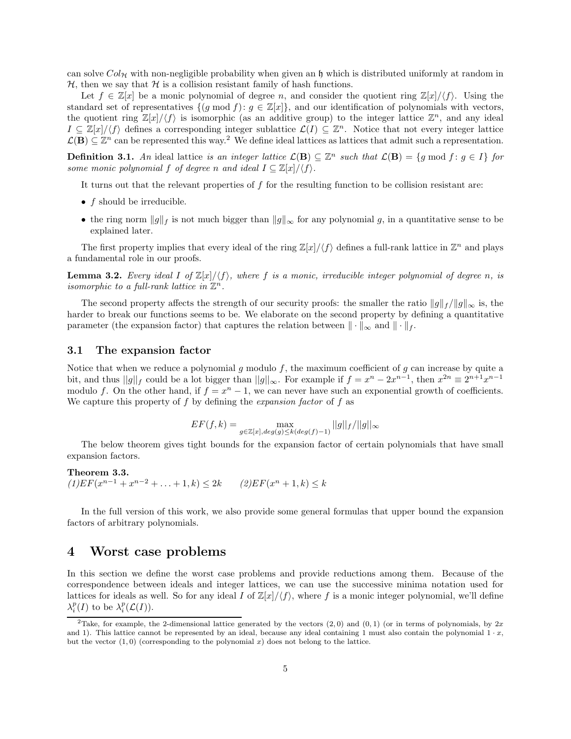can solve  $Col_{\mathcal{H}}$  with non-negligible probability when given an h which is distributed uniformly at random in  $H$ , then we say that  $H$  is a collision resistant family of hash functions.

Let  $f \in \mathbb{Z}[x]$  be a monic polynomial of degree n, and consider the quotient ring  $\mathbb{Z}[x]/\langle f \rangle$ . Using the standard set of representatives  $\{(g \mod f): g \in \mathbb{Z}[x]\}$ , and our identification of polynomials with vectors, the quotient ring  $\mathbb{Z}[x]/\langle f \rangle$  is isomorphic (as an additive group) to the integer lattice  $\mathbb{Z}^n$ , and any ideal  $I \subseteq \mathbb{Z}[x]/\langle f \rangle$  defines a corresponding integer sublattice  $\mathcal{L}(I) \subseteq \mathbb{Z}^n$ . Notice that not every integer lattice  $\mathcal{L}(\mathbf{B}) \subseteq \mathbb{Z}^n$  can be represented this way.<sup>2</sup> We define ideal lattices as lattices that admit such a representation.

**Definition 3.1.** An ideal lattice is an integer lattice  $\mathcal{L}(\mathbf{B}) \subseteq \mathbb{Z}^n$  such that  $\mathcal{L}(\mathbf{B}) = \{g \mod f : g \in I\}$  for some monic polynomial f of degree n and ideal  $I \subseteq \mathbb{Z}[x]/\langle f \rangle$ .

It turns out that the relevant properties of  $f$  for the resulting function to be collision resistant are:

- $f$  should be irreducible.
- the ring norm  $||g||_f$  is not much bigger than  $||g||_{\infty}$  for any polynomial g, in a quantitative sense to be explained later.

The first property implies that every ideal of the ring  $\mathbb{Z}[x]/\langle f \rangle$  defines a full-rank lattice in  $\mathbb{Z}^n$  and plays a fundamental role in our proofs.

**Lemma 3.2.** Every ideal I of  $\mathbb{Z}[x]/\langle f \rangle$ , where f is a monic, irreducible integer polynomial of degree n, is isomorphic to a full-rank lattice in  $\mathbb{Z}^n$ .

The second property affects the strength of our security proofs: the smaller the ratio  $||g||_f / ||g||_{\infty}$  is, the harder to break our functions seems to be. We elaborate on the second property by defining a quantitative parameter (the expansion factor) that captures the relation between  $\|\cdot\|_{\infty}$  and  $\|\cdot\|_{f}$ .

#### 3.1 The expansion factor

Notice that when we reduce a polynomial g modulo f, the maximum coefficient of g can increase by quite a bit, and thus  $||g||_f$  could be a lot bigger than  $||g||_{\infty}$ . For example if  $f = x^n - 2x^{n-1}$ , then  $x^{2n} \equiv 2^{n+1}x^{n-1}$ modulo f. On the other hand, if  $f = x^n - 1$ , we can never have such an exponential growth of coefficients. We capture this property of  $f$  by defining the *expansion factor* of  $f$  as

$$
EF(f,k) = \max_{g \in \mathbb{Z}[x], \deg(g) \le k(\deg(f) - 1)} ||g||_f / ||g||_{\infty}
$$

The below theorem gives tight bounds for the expansion factor of certain polynomials that have small expansion factors.

Theorem 3.3.  $(1) EF(x^{n-1} + x^{n-2} + \ldots + 1, k) \leq 2k$   $(2) EF(x^n + 1, k) \leq k$ 

In the full version of this work, we also provide some general formulas that upper bound the expansion factors of arbitrary polynomials.

### 4 Worst case problems

In this section we define the worst case problems and provide reductions among them. Because of the correspondence between ideals and integer lattices, we can use the successive minima notation used for lattices for ideals as well. So for any ideal I of  $\mathbb{Z}[x]/\langle f \rangle$ , where f is a monic integer polynomial, we'll define  $\lambda_i^p(I)$  to be  $\lambda_i^p(\mathcal{L}(I))$ .

<sup>&</sup>lt;sup>2</sup>Take, for example, the 2-dimensional lattice generated by the vectors  $(2,0)$  and  $(0,1)$  (or in terms of polynomials, by 2x and 1). This lattice cannot be represented by an ideal, because any ideal containing 1 must also contain the polynomial  $1 \cdot x$ , but the vector  $(1, 0)$  (corresponding to the polynomial x) does not belong to the lattice.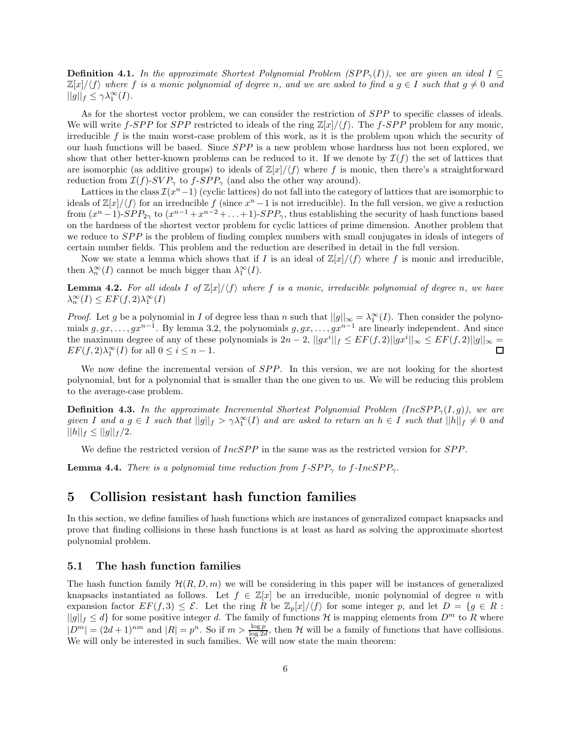**Definition 4.1.** In the approximate Shortest Polynomial Problem (SPP<sub> $\gamma$ </sub>(I)), we are given an ideal I ⊂  $\mathbb{Z}[x]/\langle f \rangle$  where f is a monic polynomial of degree n, and we are asked to find a  $g \in I$  such that  $g \neq 0$  and  $||g||_f \leq \gamma \lambda_1^{\infty}(I).$ 

As for the shortest vector problem, we can consider the restriction of SPP to specific classes of ideals. We will write f-SPP for SPP restricted to ideals of the ring  $\mathbb{Z}[x]/\langle f \rangle$ . The f-SPP problem for any monic, irreducible  $f$  is the main worst-case problem of this work, as it is the problem upon which the security of our hash functions will be based. Since  $SPP$  is a new problem whose hardness has not been explored, we show that other better-known problems can be reduced to it. If we denote by  $\mathcal{I}(f)$  the set of lattices that are isomorphic (as additive groups) to ideals of  $\mathbb{Z}[x]/\langle f \rangle$  where f is monic, then there's a straightforward reduction from  $\mathcal{I}(f)$ -SVP<sub> $\gamma$ </sub> to  $f$ -SPP<sub> $\gamma$ </sub> (and also the other way around).

Lattices in the class  $\mathcal{I}(x^n-1)$  (cyclic lattices) do not fall into the category of lattices that are isomorphic to ideals of  $\mathbb{Z}[x]/\langle f \rangle$  for an irreducible  $f$  (since  $x^n - 1$  is not irreducible). In the full version, we give a reduction from  $(x^{n}-1)$ - $SPP_{2\gamma}$  to  $(x^{n-1}+x^{n-2}+\ldots+1)$ - $SPP_{\gamma}$ , thus establishing the security of hash functions based on the hardness of the shortest vector problem for cyclic lattices of prime dimension. Another problem that we reduce to *SPP* is the problem of finding complex numbers with small conjugates in ideals of integers of certain number fields. This problem and the reduction are described in detail in the full version.

Now we state a lemma which shows that if I is an ideal of  $\mathbb{Z}[x]/\langle f \rangle$  where f is monic and irreducible, then  $\lambda_n^{\infty}(I)$  cannot be much bigger than  $\lambda_1^{\infty}(I)$ .

**Lemma 4.2.** For all ideals I of  $\mathbb{Z}[x]/\langle f \rangle$  where f is a monic, irreducible polynomial of degree n, we have  $\lambda_n^{\infty}(I) \leq EF(f, 2)\lambda_1^{\infty}(I)$ 

*Proof.* Let g be a polynomial in I of degree less than n such that  $||g||_{\infty} = \lambda_1^{\infty}(I)$ . Then consider the polynomials  $g, gx, \ldots, gx^{n-1}$ . By lemma 3.2, the polynomials  $g, gx, \ldots, gx^{n-1}$  are linearly independent. And since the maximum degree of any of these polynomials is  $2n-2$ ,  $||gx^{i}||_f \leq EF(f, 2)||gx^{i}||_{\infty} \leq EF(f, 2)||g||_{\infty} =$  $EF(f, 2)\lambda_1^{\infty}(I)$  for all  $0 \le i \le n-1$ .

We now define the incremental version of  $SPP$ . In this version, we are not looking for the shortest polynomial, but for a polynomial that is smaller than the one given to us. We will be reducing this problem to the average-case problem.

**Definition 4.3.** In the approximate Incremental Shortest Polynomial Problem (IncSPP<sub> $\gamma$ </sub>(I, g)), we are given I and  $a, g \in I$  such that  $||g||_f > \gamma \lambda_1^{\infty}(I)$  and are asked to return an  $h \in I$  such that  $||h||_f \neq 0$  and  $||h||_f \leq ||g||_f/2.$ 

We define the restricted version of  $IncSPP$  in the same was as the restricted version for  $SPP$ .

**Lemma 4.4.** There is a polynomial time reduction from  $f$ -SPP<sub> $\gamma$ </sub> to  $f$ -IncSPP<sub> $\gamma$ </sub>.

### 5 Collision resistant hash function families

In this section, we define families of hash functions which are instances of generalized compact knapsacks and prove that finding collisions in these hash functions is at least as hard as solving the approximate shortest polynomial problem.

#### 5.1 The hash function families

The hash function family  $\mathcal{H}(R, D, m)$  we will be considering in this paper will be instances of generalized knapsacks instantiated as follows. Let  $f \in \mathbb{Z}[x]$  be an irreducible, monic polynomial of degree n with expansion factor  $EF(f, 3) \leq \mathcal{E}$ . Let the ring R be  $\mathbb{Z}_p[x]/\langle f \rangle$  for some integer p, and let  $D = \{g \in R :$  $||g||_f \leq d$  for some positive integer d. The family of functions H is mapping elements from  $D^m$  to R where  $|D^m| = (2d+1)^{nm}$  and  $|R| = p^n$ . So if  $m > \frac{\log p}{\log 2d}$ , then H will be a family of functions that have collisions. We will only be interested in such families. We will now state the main theorem: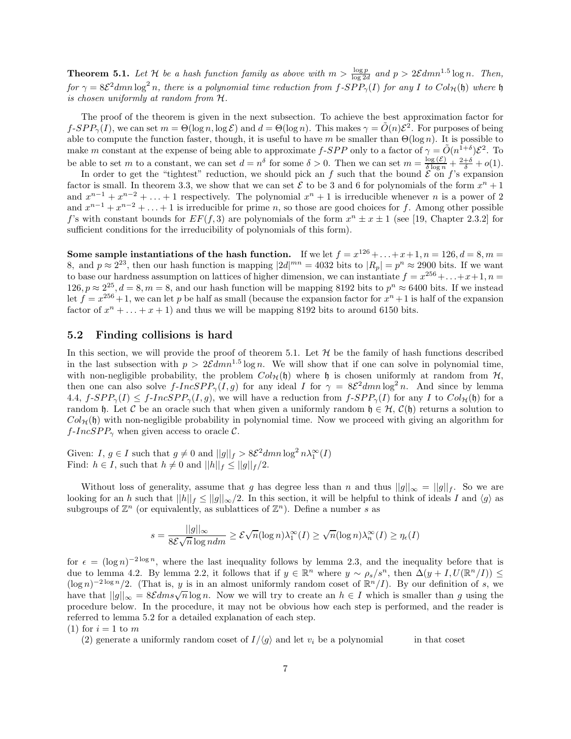**Theorem 5.1.** Let H be a hash function family as above with  $m > \frac{\log p}{\log 2d}$  and  $p > 2\mathcal{E}dmn^{1.5}\log n$ . Then, for  $\gamma = 8\mathcal{E}^2 dmn \log^2 n$ , there is a polynomial time reduction from  $f$ -SPP<sub> $\gamma$ </sub>(I) for any I to  $Col_{\mathcal{H}}(\mathfrak{h})$  where  $\mathfrak{h}$ is chosen uniformly at random from H.

The proof of the theorem is given in the next subsection. To achieve the best approximation factor for  $f$ - $SPP_{\gamma}(I)$ , we can set  $m = \Theta(\log n, \log \mathcal{E})$  and  $d = \Theta(\log n)$ . This makes  $\gamma = \tilde{O}(n)\mathcal{E}^{2}$ . For purposes of being able to compute the function faster, though, it is useful to have m be smaller than  $\Theta(\log n)$ . It is possible to make m constant at the expense of being able to approximate f-SPP only to a factor of  $\gamma = \tilde{O}(n^{1+\delta})\mathcal{E}^2$ . To be able to set m to a constant, we can set  $d = n^{\delta}$  for some  $\delta > 0$ . Then we can set  $m = \frac{\log(\mathcal{E})}{\delta \log n} + \frac{2+\delta}{\delta} + o(1)$ .

In order to get the "tightest" reduction, we should pick an f such that the bound  $\mathcal E$  on f's expansion factor is small. In theorem 3.3, we show that we can set  $\mathcal E$  to be 3 and 6 for polynomials of the form  $x^n + 1$ and  $x^{n-1} + x^{n-2} + \ldots + 1$  respectively. The polynomial  $x^n + 1$  is irreducible whenever n is a power of 2 and  $x^{n-1} + x^{n-2} + \ldots + 1$  is irreducible for prime n, so those are good choices for f. Among other possible f's with constant bounds for  $EF(f, 3)$  are polynomials of the form  $x^n \pm x \pm 1$  (see [19, Chapter 2.3.2] for sufficient conditions for the irreducibility of polynomials of this form).

Some sample instantiations of the hash function. If we let  $f = x^{126} + ... + x + 1$ ,  $n = 126$ ,  $d = 8$ ,  $m =$ 8, and  $p \approx 2^{23}$ , then our hash function is mapping  $|2d|^{mn} = 4032$  bits to  $|R_p| = p^n \approx 2900$  bits. If we want to base our hardness assumption on lattices of higher dimension, we can instantiate  $f = x^{256} + ... + x + 1$ ,  $n =$  $126, p \approx 2^{25}, d = 8, m = 8$ , and our hash function will be mapping 8192 bits to  $p^n \approx 6400$  bits. If we instead let  $f = x^{256} + 1$ , we can let p be half as small (because the expansion factor for  $x^n + 1$  is half of the expansion factor of  $x^n + \ldots + x + 1$  and thus we will be mapping 8192 bits to around 6150 bits.

#### 5.2 Finding collisions is hard

In this section, we will provide the proof of theorem 5.1. Let  $H$  be the family of hash functions described in the last subsection with  $p > 2\mathcal{E}dmn^{1.5}\log n$ . We will show that if one can solve in polynomial time, with non-negligible probability, the problem  $Col_{\mathcal{H}}(\mathfrak{h})$  where  $\mathfrak{h}$  is chosen uniformly at random from  $\mathcal{H}$ , then one can also solve  $f\text{-}IncSPP_\gamma(I,g)$  for any ideal I for  $\gamma = 8\mathcal{E}^2 dmn \log^2 n$ . And since by lemma 4.4,  $f\text{-}SPP_{\gamma}(I) \leq f\text{-}IncSPP_{\gamma}(I,g)$ , we will have a reduction from  $f\text{-}SPP_{\gamma}(I)$  for any I to  $Col_{\mathcal{H}}(\mathfrak{h})$  for a random h. Let C be an oracle such that when given a uniformly random  $h \in H$ ,  $\mathcal{C}(h)$  returns a solution to  $Col_{\mathcal{H}}(\mathfrak{h})$  with non-negligible probability in polynomial time. Now we proceed with giving an algorithm for  $f$ -IncSPP<sub> $\gamma$ </sub> when given access to oracle C.

Given:  $I, g \in I$  such that  $g \neq 0$  and  $||g||_f > 8\mathcal{E}^2 dm n \log^2 n \lambda_1^{\infty}(I)$ Find:  $h \in I$ , such that  $h \neq 0$  and  $||h||_f \leq ||g||_f / 2$ .

Without loss of generality, assume that g has degree less than n and thus  $||g||_{\infty} = ||g||_f$ . So we are looking for an h such that  $||h||_f \le ||g||_{\infty}/2$ . In this section, it will be helpful to think of ideals I and  $\langle g \rangle$  as subgroups of  $\mathbb{Z}^n$  (or equivalently, as sublattices of  $\mathbb{Z}^n$ ). Define a number s as

$$
s = \frac{||g||_{\infty}}{8\mathcal{E}\sqrt{n}\log n dm} \ge \mathcal{E}\sqrt{n}(\log n)\lambda_1^{\infty}(I) \ge \sqrt{n}(\log n)\lambda_n^{\infty}(I) \ge \eta_{\epsilon}(I)
$$

for  $\epsilon = (\log n)^{-2 \log n}$ , where the last inequality follows by lemma 2.3, and the inequality before that is due to lemma 4.2. By lemma 2.2, it follows that if  $y \in \mathbb{R}^n$  where  $y \sim \rho_s/s^n$ , then  $\Delta(y + I, U(\mathbb{R}^n/I)) \le$  $(\log n)^{-2\log n}/2$ . (That is, y is in an almost uniformly random coset of  $\mathbb{R}^n/I$ ). By our definition of s, we have that  $||g||_{\infty} = 8\mathcal{E}dms\sqrt{n}\log n$ . Now we will try to create an  $h \in I$  which is smaller than g using the procedure below. In the procedure, it may not be obvious how each step is performed, and the reader is referred to lemma 5.2 for a detailed explanation of each step.

(1) for  $i = 1$  to m

(2) generate a uniformly random coset of  $I/\langle g \rangle$  and let  $v_i$  be a polynomial in that coset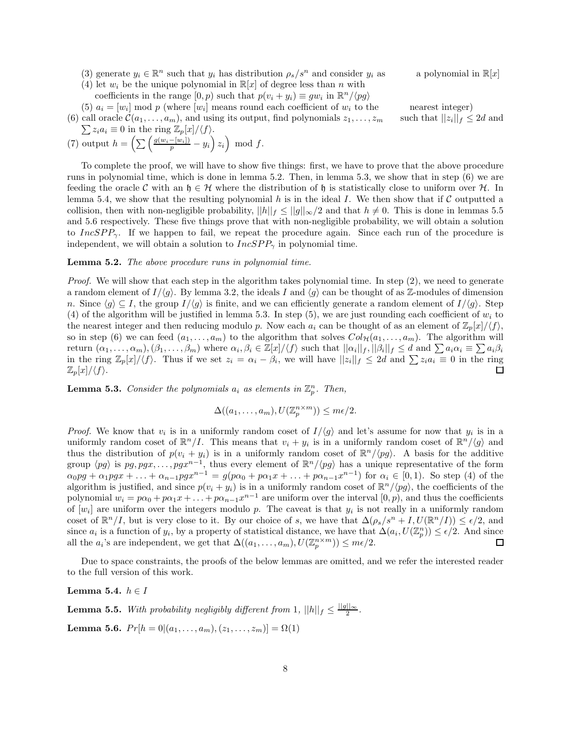- (3) generate  $y_i \in \mathbb{R}^n$  such that  $y_i$  has distribution  $\rho_s/s^n$  and consider  $y_i$  as a polynomial in  $\mathbb{R}[x]$
- (4) let  $w_i$  be the unique polynomial in  $\mathbb{R}[x]$  of degree less than n with
	- coefficients in the range  $[0, p)$  such that  $p(v_i + y_i) \equiv gw_i$  in  $\mathbb{R}^n / \langle pg \rangle$

(5)  $a_i = [w_i] \mod p$  (where  $[w_i]$  means round each coefficient of  $w_i$  to the nearest integer) (6) call oracle  $\mathcal{C}(a_1, \ldots, a_m)$ , and using its output, find polynomials  $z_1, \ldots, z_m$ 

such that  $||z_i||_f \leq 2d$  and

$$
\sum z_i a_i \equiv 0 \text{ in the ring } \mathbb{Z}_p[x]/\langle f \rangle.
$$
  
(7) output  $h = \left( \sum \left( \frac{g(w_i - [w_i])}{p} - y_i \right) z_i \right) \mod f.$ 

To complete the proof, we will have to show five things: first, we have to prove that the above procedure runs in polynomial time, which is done in lemma 5.2. Then, in lemma 5.3, we show that in step (6) we are feeding the oracle C with an  $\mathfrak{h} \in \mathcal{H}$  where the distribution of  $\mathfrak{h}$  is statistically close to uniform over H. In lemma 5.4, we show that the resulting polynomial h is in the ideal I. We then show that if  $\mathcal C$  outputted a collision, then with non-negligible probability,  $||h||_f \leq ||g||_{\infty}/2$  and that  $h \neq 0$ . This is done in lemmas 5.5 and 5.6 respectively. These five things prove that with non-negligible probability, we will obtain a solution to IncSPP<sub>γ</sub>. If we happen to fail, we repeat the procedure again. Since each run of the procedure is independent, we will obtain a solution to  $IncSPP_\gamma$  in polynomial time.

#### Lemma 5.2. The above procedure runs in polynomial time.

Proof. We will show that each step in the algorithm takes polynomial time. In step (2), we need to generate a random element of  $I/\langle g \rangle$ . By lemma 3.2, the ideals I and  $\langle g \rangle$  can be thought of as Z-modules of dimension n. Since  $\langle g \rangle \subseteq I$ , the group  $I/\langle g \rangle$  is finite, and we can efficiently generate a random element of  $I/\langle g \rangle$ . Step (4) of the algorithm will be justified in lemma 5.3. In step (5), we are just rounding each coefficient of  $w_i$  to the nearest integer and then reducing modulo p. Now each  $a_i$  can be thought of as an element of  $\mathbb{Z}_p[x]/\langle f \rangle$ , so in step (6) we can feed  $(a_1, \ldots, a_m)$  to the algorithm that solves  $Col_{\mathcal{H}}(a_1, \ldots, a_m)$ . The algorithm will return  $(\alpha_1, \ldots, \alpha_m)$ ,  $(\beta_1, \ldots, \beta_m)$  where  $\alpha_i, \beta_i \in \mathbb{Z}[x]/\langle f \rangle$  such that  $||\alpha_i||_f$ ,  $||\beta_i||_f \leq d$  and  $\sum a_i \alpha_i \equiv \sum a_i \beta_i$ in the ring  $\mathbb{Z}_p[x]/\langle f \rangle$ . Thus if we set  $z_i = \alpha_i - \beta_i$ , we will have  $||z_i||_f \leq 2d$  and  $\sum z_i a_i \equiv 0$  in the ring  $\mathbb{Z}_p[x]/\langle f \rangle.$ 

**Lemma 5.3.** Consider the polynomials  $a_i$  as elements in  $\mathbb{Z}_p^n$ . Then,

$$
\Delta((a_1,\ldots,a_m),U(\mathbb{Z}_p^{n\times m}))\leq m\epsilon/2.
$$

*Proof.* We know that  $v_i$  is in a uniformly random coset of  $I/\langle g \rangle$  and let's assume for now that  $y_i$  is in a uniformly random coset of  $\mathbb{R}^n/I$ . This means that  $v_i + y_i$  is in a uniformly random coset of  $\mathbb{R}^n/\langle g \rangle$  and thus the distribution of  $p(v_i + y_i)$  is in a uniformly random coset of  $\mathbb{R}^n/\langle pg \rangle$ . A basis for the additive group  $\langle pg \rangle$  is  $pg, pgx, \ldots, pgx^{n-1}$ , thus every element of  $\mathbb{R}^n/\langle pg \rangle$  has a unique representative of the form  $\alpha_0pg + \alpha_1pgx + \ldots + \alpha_{n-1}pgx^{n-1} = g(p\alpha_0 + p\alpha_1x + \ldots + p\alpha_{n-1}x^{n-1})$  for  $\alpha_i \in [0,1)$ . So step (4) of the algorithm is justified, and since  $p(v_i + y_i)$  is in a uniformly random coset of  $\mathbb{R}^n/\langle pg \rangle$ , the coefficients of the polynomial  $w_i = p\alpha_0 + p\alpha_1 x + \ldots + p\alpha_{n-1} x^{n-1}$  are uniform over the interval  $[0, p)$ , and thus the coefficients of  $[w_i]$  are uniform over the integers modulo p. The caveat is that  $y_i$  is not really in a uniformly random coset of  $\mathbb{R}^n/I$ , but is very close to it. By our choice of s, we have that  $\Delta(\rho_s/s^n + I, U(\mathbb{R}^n/I)) \leq \epsilon/2$ , and since  $a_i$  is a function of  $y_i$ , by a property of statistical distance, we have that  $\Delta(a_i, U(\mathbb{Z}_p^n)) \leq \epsilon/2$ . And since all the  $a_i$ 's are independent, we get that  $\Delta((a_1, \ldots, a_m), U(\mathbb{Z}_p^{n \times m})) \leq m\epsilon/2$ .

Due to space constraints, the proofs of the below lemmas are omitted, and we refer the interested reader to the full version of this work.

Lemma 5.4.  $h \in I$ 

**Lemma 5.5.** With probability negligibly different from 1,  $||h||_f \leq \frac{||g||_{\infty}}{2}$  $\frac{1}{2}$ .

Lemma 5.6.  $Pr[h = 0 | (a_1, \ldots, a_m), (z_1, \ldots, z_m)] = \Omega(1)$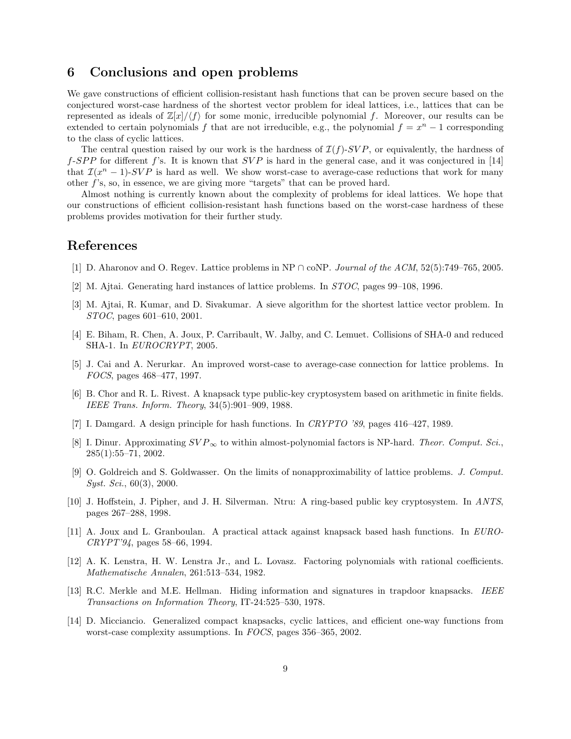### 6 Conclusions and open problems

We gave constructions of efficient collision-resistant hash functions that can be proven secure based on the conjectured worst-case hardness of the shortest vector problem for ideal lattices, i.e., lattices that can be represented as ideals of  $\mathbb{Z}[x]/\langle f \rangle$  for some monic, irreducible polynomial f. Moreover, our results can be extended to certain polynomials f that are not irreducible, e.g., the polynomial  $f = x^n - 1$  corresponding to the class of cyclic lattices.

The central question raised by our work is the hardness of  $\mathcal{I}(f)$ -SVP, or equivalently, the hardness of f-SPP for different f's. It is known that  $SVP$  is hard in the general case, and it was conjectured in [14] that  $\mathcal{I}(x^n-1)$ -SVP is hard as well. We show worst-case to average-case reductions that work for many other f's, so, in essence, we are giving more "targets" that can be proved hard.

Almost nothing is currently known about the complexity of problems for ideal lattices. We hope that our constructions of efficient collision-resistant hash functions based on the worst-case hardness of these problems provides motivation for their further study.

# References

- [1] D. Aharonov and O. Regev. Lattice problems in NP ∩ coNP. Journal of the ACM, 52(5):749–765, 2005.
- [2] M. Ajtai. Generating hard instances of lattice problems. In STOC, pages 99–108, 1996.
- [3] M. Ajtai, R. Kumar, and D. Sivakumar. A sieve algorithm for the shortest lattice vector problem. In STOC, pages 601–610, 2001.
- [4] E. Biham, R. Chen, A. Joux, P. Carribault, W. Jalby, and C. Lemuet. Collisions of SHA-0 and reduced SHA-1. In EUROCRYPT, 2005.
- [5] J. Cai and A. Nerurkar. An improved worst-case to average-case connection for lattice problems. In FOCS, pages 468–477, 1997.
- [6] B. Chor and R. L. Rivest. A knapsack type public-key cryptosystem based on arithmetic in finite fields. IEEE Trans. Inform. Theory, 34(5):901–909, 1988.
- [7] I. Damgard. A design principle for hash functions. In CRYPTO '89, pages 416–427, 1989.
- [8] I. Dinur. Approximating  $SVP_{\infty}$  to within almost-polynomial factors is NP-hard. Theor. Comput. Sci., 285(1):55–71, 2002.
- [9] O. Goldreich and S. Goldwasser. On the limits of nonapproximability of lattice problems. J. Comput. Syst. Sci., 60(3), 2000.
- [10] J. Hoffstein, J. Pipher, and J. H. Silverman. Ntru: A ring-based public key cryptosystem. In ANTS, pages 267–288, 1998.
- [11] A. Joux and L. Granboulan. A practical attack against knapsack based hash functions. In EURO-CRYPT'94, pages 58–66, 1994.
- [12] A. K. Lenstra, H. W. Lenstra Jr., and L. Lovasz. Factoring polynomials with rational coefficients. Mathematische Annalen, 261:513–534, 1982.
- [13] R.C. Merkle and M.E. Hellman. Hiding information and signatures in trapdoor knapsacks. IEEE Transactions on Information Theory, IT-24:525–530, 1978.
- [14] D. Micciancio. Generalized compact knapsacks, cyclic lattices, and efficient one-way functions from worst-case complexity assumptions. In FOCS, pages 356–365, 2002.